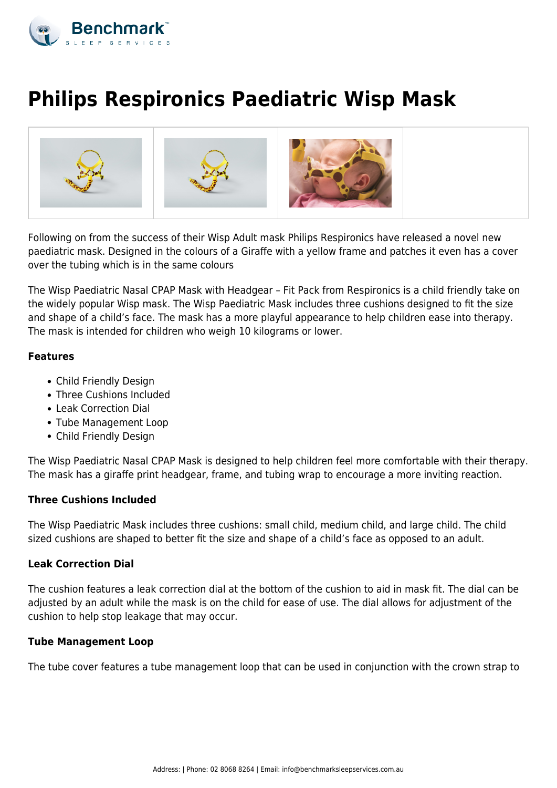

# **Philips Respironics Paediatric Wisp Mask**



Following on from the success of their Wisp Adult mask Philips Respironics have released a novel new paediatric mask. Designed in the colours of a Giraffe with a yellow frame and patches it even has a cover over the tubing which is in the same colours

The Wisp Paediatric Nasal CPAP Mask with Headgear – Fit Pack from Respironics is a child friendly take on the widely popular Wisp mask. The Wisp Paediatric Mask includes three cushions designed to fit the size and shape of a child's face. The mask has a more playful appearance to help children ease into therapy. The mask is intended for children who weigh 10 kilograms or lower.

## **Features**

- Child Friendly Design
- Three Cushions Included
- Leak Correction Dial
- Tube Management Loop
- Child Friendly Design

The Wisp Paediatric Nasal CPAP Mask is designed to help children feel more comfortable with their therapy. The mask has a giraffe print headgear, frame, and tubing wrap to encourage a more inviting reaction.

### **Three Cushions Included**

The Wisp Paediatric Mask includes three cushions: small child, medium child, and large child. The child sized cushions are shaped to better fit the size and shape of a child's face as opposed to an adult.

### **Leak Correction Dial**

The cushion features a leak correction dial at the bottom of the cushion to aid in mask fit. The dial can be adjusted by an adult while the mask is on the child for ease of use. The dial allows for adjustment of the cushion to help stop leakage that may occur.

### **Tube Management Loop**

The tube cover features a tube management loop that can be used in conjunction with the crown strap to